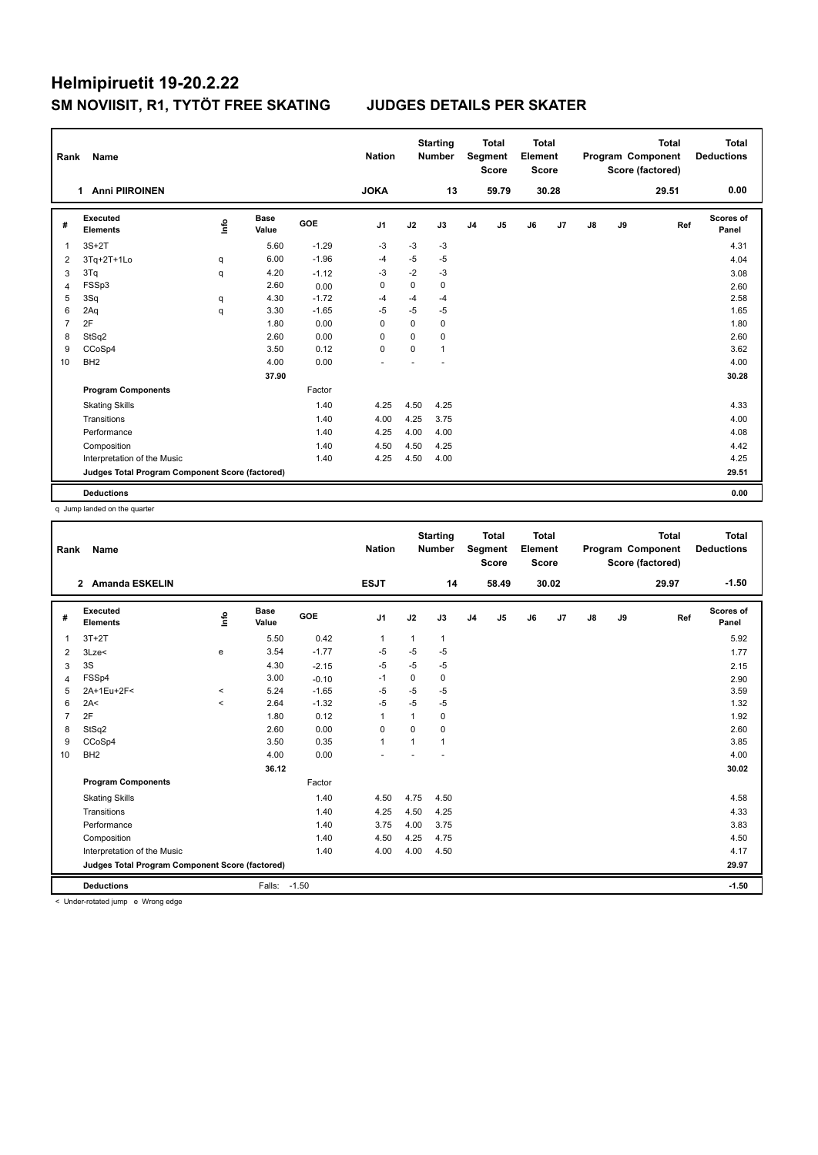| Rank           | Name                                            |      |                      |            | <b>Nation</b>  |          | <b>Starting</b><br><b>Number</b> |                | <b>Total</b><br>Segment<br><b>Score</b> | <b>Total</b><br>Element<br><b>Score</b> |       |    |    | <b>Total</b><br>Program Component<br>Score (factored) | <b>Total</b><br><b>Deductions</b> |
|----------------|-------------------------------------------------|------|----------------------|------------|----------------|----------|----------------------------------|----------------|-----------------------------------------|-----------------------------------------|-------|----|----|-------------------------------------------------------|-----------------------------------|
|                | <b>Anni PIIROINEN</b><br>1                      |      |                      |            | <b>JOKA</b>    |          | 13                               |                | 59.79                                   |                                         | 30.28 |    |    | 29.51                                                 | 0.00                              |
| #              | Executed<br><b>Elements</b>                     | lnfo | <b>Base</b><br>Value | <b>GOE</b> | J <sub>1</sub> | J2       | J3                               | J <sub>4</sub> | J <sub>5</sub>                          | J6                                      | J7    | J8 | J9 | Ref                                                   | Scores of<br>Panel                |
| 1              | $3S+2T$                                         |      | 5.60                 | $-1.29$    | $-3$           | $-3$     | $-3$                             |                |                                         |                                         |       |    |    |                                                       | 4.31                              |
| 2              | 3Tq+2T+1Lo                                      | q    | 6.00                 | $-1.96$    | $-4$           | $-5$     | $-5$                             |                |                                         |                                         |       |    |    |                                                       | 4.04                              |
| 3              | 3Tq                                             | q    | 4.20                 | $-1.12$    | $-3$           | $-2$     | $-3$                             |                |                                         |                                         |       |    |    |                                                       | 3.08                              |
| $\overline{4}$ | FSSp3                                           |      | 2.60                 | 0.00       | $\Omega$       | $\Omega$ | $\Omega$                         |                |                                         |                                         |       |    |    |                                                       | 2.60                              |
| 5              | 3Sq                                             | q    | 4.30                 | $-1.72$    | $-4$           | $-4$     | $-4$                             |                |                                         |                                         |       |    |    |                                                       | 2.58                              |
| 6              | 2Aq                                             | q    | 3.30                 | $-1.65$    | $-5$           | $-5$     | $-5$                             |                |                                         |                                         |       |    |    |                                                       | 1.65                              |
| 7              | 2F                                              |      | 1.80                 | 0.00       | 0              | $\Omega$ | $\mathbf 0$                      |                |                                         |                                         |       |    |    |                                                       | 1.80                              |
| 8              | StSq2                                           |      | 2.60                 | 0.00       | 0              | 0        | 0                                |                |                                         |                                         |       |    |    |                                                       | 2.60                              |
| 9              | CCoSp4                                          |      | 3.50                 | 0.12       | $\mathbf 0$    | 0        | $\mathbf{1}$                     |                |                                         |                                         |       |    |    |                                                       | 3.62                              |
| 10             | BH <sub>2</sub>                                 |      | 4.00                 | 0.00       |                |          |                                  |                |                                         |                                         |       |    |    |                                                       | 4.00                              |
|                |                                                 |      | 37.90                |            |                |          |                                  |                |                                         |                                         |       |    |    |                                                       | 30.28                             |
|                | <b>Program Components</b>                       |      |                      | Factor     |                |          |                                  |                |                                         |                                         |       |    |    |                                                       |                                   |
|                | <b>Skating Skills</b>                           |      |                      | 1.40       | 4.25           | 4.50     | 4.25                             |                |                                         |                                         |       |    |    |                                                       | 4.33                              |
|                | Transitions                                     |      |                      | 1.40       | 4.00           | 4.25     | 3.75                             |                |                                         |                                         |       |    |    |                                                       | 4.00                              |
|                | Performance                                     |      |                      | 1.40       | 4.25           | 4.00     | 4.00                             |                |                                         |                                         |       |    |    |                                                       | 4.08                              |
|                | Composition                                     |      |                      | 1.40       | 4.50           | 4.50     | 4.25                             |                |                                         |                                         |       |    |    |                                                       | 4.42                              |
|                | Interpretation of the Music                     |      |                      | 1.40       | 4.25           | 4.50     | 4.00                             |                |                                         |                                         |       |    |    |                                                       | 4.25                              |
|                | Judges Total Program Component Score (factored) |      |                      |            |                |          |                                  |                |                                         |                                         |       |    |    |                                                       | 29.51                             |
|                | <b>Deductions</b>                               |      |                      |            |                |          |                                  |                |                                         |                                         |       |    |    |                                                       | 0.00                              |

q Jump landed on the quarter

| Rank           | Name                                                         |         |                      |            | <b>Nation</b> |                | <b>Starting</b><br><b>Number</b> |                | <b>Total</b><br>Segment<br><b>Score</b> | <b>Total</b><br>Element<br><b>Score</b> |       |    |    | <b>Total</b><br>Program Component<br>Score (factored) | <b>Total</b><br><b>Deductions</b> |
|----------------|--------------------------------------------------------------|---------|----------------------|------------|---------------|----------------|----------------------------------|----------------|-----------------------------------------|-----------------------------------------|-------|----|----|-------------------------------------------------------|-----------------------------------|
|                | 2 Amanda ESKELIN                                             |         |                      |            | <b>ESJT</b>   |                | 14                               |                | 58.49                                   |                                         | 30.02 |    |    | 29.97                                                 | $-1.50$                           |
| #              | Executed<br><b>Elements</b>                                  | lnfo    | <b>Base</b><br>Value | <b>GOE</b> | J1            | J2             | J3                               | J <sub>4</sub> | J5                                      | J6                                      | J7    | J8 | J9 | Ref                                                   | Scores of<br>Panel                |
| $\overline{1}$ | $3T+2T$                                                      |         | 5.50                 | 0.42       | $\mathbf{1}$  | 1              | $\mathbf{1}$                     |                |                                         |                                         |       |    |    |                                                       | 5.92                              |
| 2              | 3Lze<                                                        | e       | 3.54                 | $-1.77$    | -5            | $-5$           | $-5$                             |                |                                         |                                         |       |    |    |                                                       | 1.77                              |
| 3              | 3S                                                           |         | 4.30                 | $-2.15$    | -5            | -5             | $-5$                             |                |                                         |                                         |       |    |    |                                                       | 2.15                              |
| 4              | FSSp4                                                        |         | 3.00                 | $-0.10$    | $-1$          | 0              | 0                                |                |                                         |                                         |       |    |    |                                                       | 2.90                              |
| 5              | 2A+1Eu+2F<                                                   | $\prec$ | 5.24                 | $-1.65$    | $-5$          | $-5$           | $-5$                             |                |                                         |                                         |       |    |    |                                                       | 3.59                              |
| 6              | 2A<                                                          | $\,<$   | 2.64                 | $-1.32$    | $-5$          | $-5$           | $-5$                             |                |                                         |                                         |       |    |    |                                                       | 1.32                              |
| $\overline{7}$ | 2F                                                           |         | 1.80                 | 0.12       | $\mathbf{1}$  | 1              | 0                                |                |                                         |                                         |       |    |    |                                                       | 1.92                              |
| 8              | StSq2                                                        |         | 2.60                 | 0.00       | $\mathbf 0$   | $\mathbf 0$    | 0                                |                |                                         |                                         |       |    |    |                                                       | 2.60                              |
| 9              | CCoSp4                                                       |         | 3.50                 | 0.35       | $\mathbf{1}$  | $\overline{1}$ | 1                                |                |                                         |                                         |       |    |    |                                                       | 3.85                              |
| 10             | BH <sub>2</sub>                                              |         | 4.00                 | 0.00       |               |                |                                  |                |                                         |                                         |       |    |    |                                                       | 4.00                              |
|                |                                                              |         | 36.12                |            |               |                |                                  |                |                                         |                                         |       |    |    |                                                       | 30.02                             |
|                | <b>Program Components</b>                                    |         |                      | Factor     |               |                |                                  |                |                                         |                                         |       |    |    |                                                       |                                   |
|                | <b>Skating Skills</b>                                        |         |                      | 1.40       | 4.50          | 4.75           | 4.50                             |                |                                         |                                         |       |    |    |                                                       | 4.58                              |
|                | Transitions                                                  |         |                      | 1.40       | 4.25          | 4.50           | 4.25                             |                |                                         |                                         |       |    |    |                                                       | 4.33                              |
|                | Performance                                                  |         |                      | 1.40       | 3.75          | 4.00           | 3.75                             |                |                                         |                                         |       |    |    |                                                       | 3.83                              |
|                | Composition                                                  |         |                      | 1.40       | 4.50          | 4.25           | 4.75                             |                |                                         |                                         |       |    |    |                                                       | 4.50                              |
|                | Interpretation of the Music                                  |         |                      | 1.40       | 4.00          | 4.00           | 4.50                             |                |                                         |                                         |       |    |    |                                                       | 4.17                              |
|                | Judges Total Program Component Score (factored)              |         |                      |            |               |                |                                  |                |                                         |                                         |       |    |    |                                                       | 29.97                             |
|                | <b>Deductions</b>                                            |         | Falls:               | $-1.50$    |               |                |                                  |                |                                         |                                         |       |    |    |                                                       | $-1.50$                           |
|                | and the state products of ferrometric and Magazine and state |         |                      |            |               |                |                                  |                |                                         |                                         |       |    |    |                                                       |                                   |

< Under-rotated jump e Wrong edge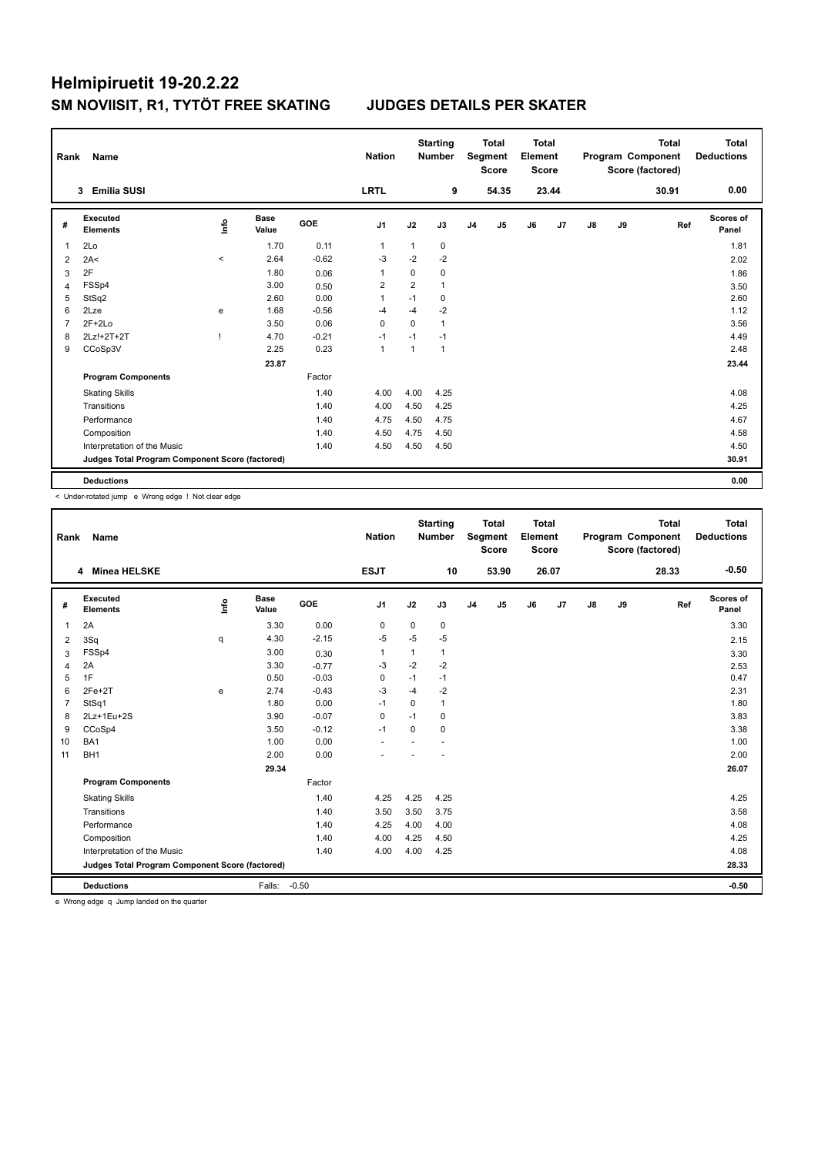## Helmipiruetit 19-20.2.22 SM NOVIISIT, R1, TYTÖT FREE SKATING

### **JUDGES DETAILS PER SKATER**

| Rank           | Name                                            |         |                      |         | <b>Nation</b>  |              | <b>Starting</b><br><b>Number</b> |                | <b>Total</b><br>Segment<br><b>Score</b> | <b>Total</b><br>Element<br>Score |       |               |    | <b>Total</b><br>Program Component<br>Score (factored) | <b>Total</b><br><b>Deductions</b> |
|----------------|-------------------------------------------------|---------|----------------------|---------|----------------|--------------|----------------------------------|----------------|-----------------------------------------|----------------------------------|-------|---------------|----|-------------------------------------------------------|-----------------------------------|
|                | <b>Emilia SUSI</b><br>3                         |         |                      |         | <b>LRTL</b>    |              | 9                                |                | 54.35                                   |                                  | 23.44 |               |    | 30.91                                                 | 0.00                              |
| #              | <b>Executed</b><br><b>Elements</b>              | lnfo    | <b>Base</b><br>Value | GOE     | J <sub>1</sub> | J2           | J3                               | J <sub>4</sub> | J <sub>5</sub>                          | J6                               | J7    | $\mathsf{J}8$ | J9 | Ref                                                   | <b>Scores of</b><br>Panel         |
| 1              | 2Lo                                             |         | 1.70                 | 0.11    | $\mathbf 1$    | $\mathbf{1}$ | 0                                |                |                                         |                                  |       |               |    |                                                       | 1.81                              |
| 2              | 2A<                                             | $\prec$ | 2.64                 | $-0.62$ | $-3$           | $-2$         | $-2$                             |                |                                         |                                  |       |               |    |                                                       | 2.02                              |
| 3              | 2F                                              |         | 1.80                 | 0.06    | 1              | 0            | 0                                |                |                                         |                                  |       |               |    |                                                       | 1.86                              |
| $\overline{4}$ | FSSp4                                           |         | 3.00                 | 0.50    | $\overline{2}$ | 2            | $\mathbf{1}$                     |                |                                         |                                  |       |               |    |                                                       | 3.50                              |
| 5              | StSq2                                           |         | 2.60                 | 0.00    | 1              | $-1$         | 0                                |                |                                         |                                  |       |               |    |                                                       | 2.60                              |
| 6              | 2Lze                                            | e       | 1.68                 | $-0.56$ | $-4$           | $-4$         | -2                               |                |                                         |                                  |       |               |    |                                                       | 1.12                              |
| 7              | $2F+2Lo$                                        |         | 3.50                 | 0.06    | $\Omega$       | $\Omega$     | $\mathbf{1}$                     |                |                                         |                                  |       |               |    |                                                       | 3.56                              |
| 8              | 2Lz!+2T+2T                                      |         | 4.70                 | $-0.21$ | -1             | $-1$         | $-1$                             |                |                                         |                                  |       |               |    |                                                       | 4.49                              |
| 9              | CCoSp3V                                         |         | 2.25                 | 0.23    | $\mathbf{1}$   | $\mathbf{1}$ | 1                                |                |                                         |                                  |       |               |    |                                                       | 2.48                              |
|                |                                                 |         | 23.87                |         |                |              |                                  |                |                                         |                                  |       |               |    |                                                       | 23.44                             |
|                | <b>Program Components</b>                       |         |                      | Factor  |                |              |                                  |                |                                         |                                  |       |               |    |                                                       |                                   |
|                | <b>Skating Skills</b>                           |         |                      | 1.40    | 4.00           | 4.00         | 4.25                             |                |                                         |                                  |       |               |    |                                                       | 4.08                              |
|                | Transitions                                     |         |                      | 1.40    | 4.00           | 4.50         | 4.25                             |                |                                         |                                  |       |               |    |                                                       | 4.25                              |
|                | Performance                                     |         |                      | 1.40    | 4.75           | 4.50         | 4.75                             |                |                                         |                                  |       |               |    |                                                       | 4.67                              |
|                | Composition                                     |         |                      | 1.40    | 4.50           | 4.75         | 4.50                             |                |                                         |                                  |       |               |    |                                                       | 4.58                              |
|                | Interpretation of the Music                     |         |                      | 1.40    | 4.50           | 4.50         | 4.50                             |                |                                         |                                  |       |               |    |                                                       | 4.50                              |
|                | Judges Total Program Component Score (factored) |         |                      |         |                |              |                                  |                |                                         |                                  |       |               |    |                                                       | 30.91                             |
|                | <b>Deductions</b>                               |         |                      |         |                |              |                                  |                |                                         |                                  |       |               |    |                                                       | 0.00                              |

< Under-rotated jump e Wrong edge ! Not clear edge

| Rank           | Name                                                                                                                                                                                                                           |      |                      |            | <b>Nation</b> |             | <b>Starting</b><br><b>Number</b> |                | <b>Total</b><br>Segment<br><b>Score</b> | <b>Total</b><br>Element<br><b>Score</b> |       |    |    | <b>Total</b><br>Program Component<br>Score (factored) | <b>Total</b><br><b>Deductions</b> |
|----------------|--------------------------------------------------------------------------------------------------------------------------------------------------------------------------------------------------------------------------------|------|----------------------|------------|---------------|-------------|----------------------------------|----------------|-----------------------------------------|-----------------------------------------|-------|----|----|-------------------------------------------------------|-----------------------------------|
|                | 4 Minea HELSKE                                                                                                                                                                                                                 |      |                      |            | <b>ESJT</b>   |             | 10                               |                | 53.90                                   |                                         | 26.07 |    |    | 28.33                                                 | $-0.50$                           |
| #              | Executed<br><b>Elements</b>                                                                                                                                                                                                    | lnfo | <b>Base</b><br>Value | <b>GOE</b> | J1            | J2          | J3                               | J <sub>4</sub> | J5                                      | J6                                      | J7    | J8 | J9 | Ref                                                   | Scores of<br>Panel                |
| 1              | 2A                                                                                                                                                                                                                             |      | 3.30                 | 0.00       | $\mathbf 0$   | $\mathbf 0$ | $\mathbf 0$                      |                |                                         |                                         |       |    |    |                                                       | 3.30                              |
| 2              | 3Sq                                                                                                                                                                                                                            | q    | 4.30                 | $-2.15$    | $-5$          | $-5$        | $-5$                             |                |                                         |                                         |       |    |    |                                                       | 2.15                              |
| 3              | FSSp4                                                                                                                                                                                                                          |      | 3.00                 | 0.30       | 1             | 1           | $\mathbf{1}$                     |                |                                         |                                         |       |    |    |                                                       | 3.30                              |
| 4              | 2A                                                                                                                                                                                                                             |      | 3.30                 | $-0.77$    | $-3$          | $-2$        | $-2$                             |                |                                         |                                         |       |    |    |                                                       | 2.53                              |
| 5              | 1F                                                                                                                                                                                                                             |      | 0.50                 | $-0.03$    | 0             | $-1$        | $-1$                             |                |                                         |                                         |       |    |    |                                                       | 0.47                              |
| 6              | $2Fe+2T$                                                                                                                                                                                                                       | e    | 2.74                 | $-0.43$    | $-3$          | $-4$        | $-2$                             |                |                                         |                                         |       |    |    |                                                       | 2.31                              |
| $\overline{7}$ | StSq1                                                                                                                                                                                                                          |      | 1.80                 | 0.00       | $-1$          | $\Omega$    | $\mathbf{1}$                     |                |                                         |                                         |       |    |    |                                                       | 1.80                              |
| 8              | 2Lz+1Eu+2S                                                                                                                                                                                                                     |      | 3.90                 | $-0.07$    | $\mathbf 0$   | $-1$        | $\Omega$                         |                |                                         |                                         |       |    |    |                                                       | 3.83                              |
| 9              | CCoSp4                                                                                                                                                                                                                         |      | 3.50                 | $-0.12$    | $-1$          | $\mathbf 0$ | $\mathbf 0$                      |                |                                         |                                         |       |    |    |                                                       | 3.38                              |
| 10             | BA <sub>1</sub>                                                                                                                                                                                                                |      | 1.00                 | 0.00       |               |             |                                  |                |                                         |                                         |       |    |    |                                                       | 1.00                              |
| 11             | BH <sub>1</sub>                                                                                                                                                                                                                |      | 2.00                 | 0.00       |               |             |                                  |                |                                         |                                         |       |    |    |                                                       | 2.00                              |
|                |                                                                                                                                                                                                                                |      | 29.34                |            |               |             |                                  |                |                                         |                                         |       |    |    |                                                       | 26.07                             |
|                | <b>Program Components</b>                                                                                                                                                                                                      |      |                      | Factor     |               |             |                                  |                |                                         |                                         |       |    |    |                                                       |                                   |
|                | <b>Skating Skills</b>                                                                                                                                                                                                          |      |                      | 1.40       | 4.25          | 4.25        | 4.25                             |                |                                         |                                         |       |    |    |                                                       | 4.25                              |
|                | Transitions                                                                                                                                                                                                                    |      |                      | 1.40       | 3.50          | 3.50        | 3.75                             |                |                                         |                                         |       |    |    |                                                       | 3.58                              |
|                | Performance                                                                                                                                                                                                                    |      |                      | 1.40       | 4.25          | 4.00        | 4.00                             |                |                                         |                                         |       |    |    |                                                       | 4.08                              |
|                | Composition                                                                                                                                                                                                                    |      |                      | 1.40       | 4.00          | 4.25        | 4.50                             |                |                                         |                                         |       |    |    |                                                       | 4.25                              |
|                | Interpretation of the Music                                                                                                                                                                                                    |      |                      | 1.40       | 4.00          | 4.00        | 4.25                             |                |                                         |                                         |       |    |    |                                                       | 4.08                              |
|                | Judges Total Program Component Score (factored)                                                                                                                                                                                |      |                      |            |               |             |                                  |                |                                         |                                         |       |    |    |                                                       | 28.33                             |
|                | <b>Deductions</b>                                                                                                                                                                                                              |      | Falls:               | $-0.50$    |               |             |                                  |                |                                         |                                         |       |    |    |                                                       | $-0.50$                           |
|                | the Address of the first theory of the standard and discussion of the contract of the Address of the Address of the Address of the Address of the Address of the Address of the Address of the Address of the Address of the A |      |                      |            |               |             |                                  |                |                                         |                                         |       |    |    |                                                       |                                   |

e Wrong edge q Jump landed on the quarter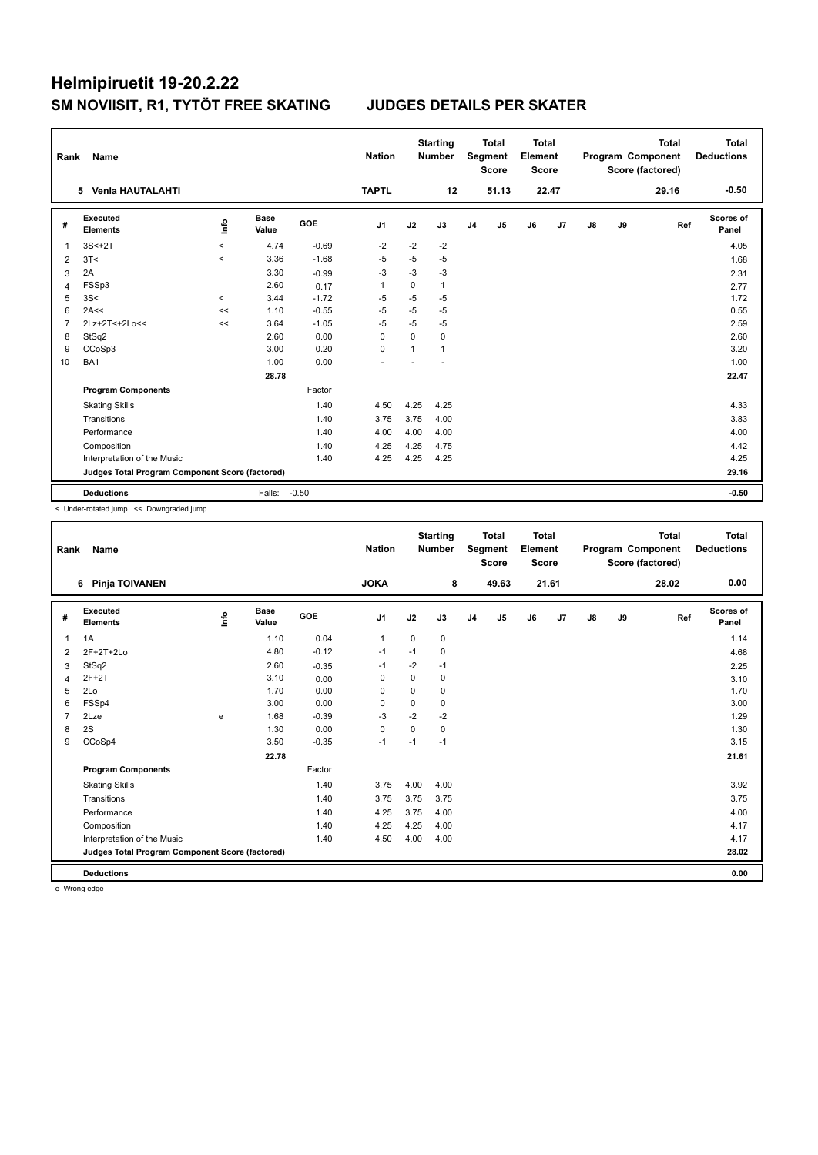| Rank           | Name                                            |         |                      |         | <b>Nation</b>  |             | <b>Starting</b><br><b>Number</b> |                | <b>Total</b><br>Segment<br><b>Score</b> | Total<br>Element<br><b>Score</b> |       |    |    | <b>Total</b><br>Program Component<br>Score (factored) | Total<br><b>Deductions</b> |
|----------------|-------------------------------------------------|---------|----------------------|---------|----------------|-------------|----------------------------------|----------------|-----------------------------------------|----------------------------------|-------|----|----|-------------------------------------------------------|----------------------------|
|                | 5 Venia HAUTALAHTI                              |         |                      |         | <b>TAPTL</b>   |             | 12                               |                | 51.13                                   |                                  | 22.47 |    |    | 29.16                                                 | $-0.50$                    |
| #              | Executed<br><b>Elements</b>                     | ١nfo    | <b>Base</b><br>Value | GOE     | J <sub>1</sub> | J2          | J3                               | J <sub>4</sub> | J5                                      | J6                               | J7    | J8 | J9 | Ref                                                   | Scores of<br>Panel         |
| 1              | $3S<+2T$                                        | $\,<\,$ | 4.74                 | $-0.69$ | $-2$           | $-2$        | $-2$                             |                |                                         |                                  |       |    |    |                                                       | 4.05                       |
| 2              | 3T<                                             | $\prec$ | 3.36                 | $-1.68$ | $-5$           | $-5$        | $-5$                             |                |                                         |                                  |       |    |    |                                                       | 1.68                       |
| 3              | 2A                                              |         | 3.30                 | $-0.99$ | -3             | $-3$        | $-3$                             |                |                                         |                                  |       |    |    |                                                       | 2.31                       |
| 4              | FSSp3                                           |         | 2.60                 | 0.17    | $\overline{1}$ | 0           | 1                                |                |                                         |                                  |       |    |    |                                                       | 2.77                       |
| 5              | 3S<                                             | $\prec$ | 3.44                 | $-1.72$ | $-5$           | $-5$        | $-5$                             |                |                                         |                                  |       |    |    |                                                       | 1.72                       |
| 6              | 2A<<                                            | <<      | 1.10                 | $-0.55$ | $-5$           | $-5$        | $-5$                             |                |                                         |                                  |       |    |    |                                                       | 0.55                       |
| $\overline{7}$ | 2Lz+2T<+2Lo<<                                   | <<      | 3.64                 | $-1.05$ | $-5$           | $-5$        | $-5$                             |                |                                         |                                  |       |    |    |                                                       | 2.59                       |
| 8              | StSq2                                           |         | 2.60                 | 0.00    | 0              | $\mathbf 0$ | 0                                |                |                                         |                                  |       |    |    |                                                       | 2.60                       |
| 9              | CCoSp3                                          |         | 3.00                 | 0.20    | 0              | 1           | 1                                |                |                                         |                                  |       |    |    |                                                       | 3.20                       |
| 10             | BA1                                             |         | 1.00                 | 0.00    |                |             |                                  |                |                                         |                                  |       |    |    |                                                       | 1.00                       |
|                |                                                 |         | 28.78                |         |                |             |                                  |                |                                         |                                  |       |    |    |                                                       | 22.47                      |
|                | <b>Program Components</b>                       |         |                      | Factor  |                |             |                                  |                |                                         |                                  |       |    |    |                                                       |                            |
|                | <b>Skating Skills</b>                           |         |                      | 1.40    | 4.50           | 4.25        | 4.25                             |                |                                         |                                  |       |    |    |                                                       | 4.33                       |
|                | Transitions                                     |         |                      | 1.40    | 3.75           | 3.75        | 4.00                             |                |                                         |                                  |       |    |    |                                                       | 3.83                       |
|                | Performance                                     |         |                      | 1.40    | 4.00           | 4.00        | 4.00                             |                |                                         |                                  |       |    |    |                                                       | 4.00                       |
|                | Composition                                     |         |                      | 1.40    | 4.25           | 4.25        | 4.75                             |                |                                         |                                  |       |    |    |                                                       | 4.42                       |
|                | Interpretation of the Music                     |         |                      | 1.40    | 4.25           | 4.25        | 4.25                             |                |                                         |                                  |       |    |    |                                                       | 4.25                       |
|                | Judges Total Program Component Score (factored) |         |                      |         |                |             |                                  |                |                                         |                                  |       |    |    |                                                       | 29.16                      |
|                | <b>Deductions</b>                               |         | Falls:               | $-0.50$ |                |             |                                  |                |                                         |                                  |       |    |    |                                                       | $-0.50$                    |

< Under-rotated jump << Downgraded jump

| Rank           | Name                                            |      |                      |         | <b>Nation</b>  |          | <b>Starting</b><br><b>Number</b> |                | <b>Total</b><br>Segment<br><b>Score</b> | <b>Total</b><br>Element<br><b>Score</b> |                |               |    | <b>Total</b><br>Program Component<br>Score (factored) | <b>Total</b><br><b>Deductions</b> |
|----------------|-------------------------------------------------|------|----------------------|---------|----------------|----------|----------------------------------|----------------|-----------------------------------------|-----------------------------------------|----------------|---------------|----|-------------------------------------------------------|-----------------------------------|
|                | Pinja TOIVANEN<br>6                             |      |                      |         | <b>JOKA</b>    |          | 8                                |                | 49.63                                   |                                         | 21.61          |               |    | 28.02                                                 | 0.00                              |
| #              | Executed<br><b>Elements</b>                     | lnfo | <b>Base</b><br>Value | GOE     | J <sub>1</sub> | J2       | J3                               | J <sub>4</sub> | J5                                      | J6                                      | J <sub>7</sub> | $\mathsf{J}8$ | J9 | Ref                                                   | <b>Scores of</b><br>Panel         |
| $\overline{1}$ | 1A                                              |      | 1.10                 | 0.04    | $\overline{1}$ | $\Omega$ | $\mathbf 0$                      |                |                                         |                                         |                |               |    |                                                       | 1.14                              |
| 2              | 2F+2T+2Lo                                       |      | 4.80                 | $-0.12$ | $-1$           | $-1$     | 0                                |                |                                         |                                         |                |               |    |                                                       | 4.68                              |
| 3              | StSq2                                           |      | 2.60                 | $-0.35$ | $-1$           | $-2$     | $-1$                             |                |                                         |                                         |                |               |    |                                                       | 2.25                              |
| $\overline{4}$ | $2F+2T$                                         |      | 3.10                 | 0.00    | $\mathbf 0$    | 0        | 0                                |                |                                         |                                         |                |               |    |                                                       | 3.10                              |
| 5              | 2Lo                                             |      | 1.70                 | 0.00    | $\Omega$       | $\Omega$ | 0                                |                |                                         |                                         |                |               |    |                                                       | 1.70                              |
| 6              | FSSp4                                           |      | 3.00                 | 0.00    | $\Omega$       | 0        | 0                                |                |                                         |                                         |                |               |    |                                                       | 3.00                              |
| $\overline{7}$ | 2Lze                                            | e    | 1.68                 | $-0.39$ | $-3$           | $-2$     | $-2$                             |                |                                         |                                         |                |               |    |                                                       | 1.29                              |
| 8              | 2S                                              |      | 1.30                 | 0.00    | $\Omega$       | $\Omega$ | 0                                |                |                                         |                                         |                |               |    |                                                       | 1.30                              |
| 9              | CCoSp4                                          |      | 3.50                 | $-0.35$ | $-1$           | $-1$     | $-1$                             |                |                                         |                                         |                |               |    |                                                       | 3.15                              |
|                |                                                 |      | 22.78                |         |                |          |                                  |                |                                         |                                         |                |               |    |                                                       | 21.61                             |
|                | <b>Program Components</b>                       |      |                      | Factor  |                |          |                                  |                |                                         |                                         |                |               |    |                                                       |                                   |
|                | <b>Skating Skills</b>                           |      |                      | 1.40    | 3.75           | 4.00     | 4.00                             |                |                                         |                                         |                |               |    |                                                       | 3.92                              |
|                | Transitions                                     |      |                      | 1.40    | 3.75           | 3.75     | 3.75                             |                |                                         |                                         |                |               |    |                                                       | 3.75                              |
|                | Performance                                     |      |                      | 1.40    | 4.25           | 3.75     | 4.00                             |                |                                         |                                         |                |               |    |                                                       | 4.00                              |
|                | Composition                                     |      |                      | 1.40    | 4.25           | 4.25     | 4.00                             |                |                                         |                                         |                |               |    |                                                       | 4.17                              |
|                | Interpretation of the Music                     |      |                      | 1.40    | 4.50           | 4.00     | 4.00                             |                |                                         |                                         |                |               |    |                                                       | 4.17                              |
|                | Judges Total Program Component Score (factored) |      |                      |         |                |          |                                  |                |                                         |                                         |                |               |    |                                                       | 28.02                             |
|                | <b>Deductions</b>                               |      |                      |         |                |          |                                  |                |                                         |                                         |                |               |    |                                                       | 0.00                              |

e Wrong edge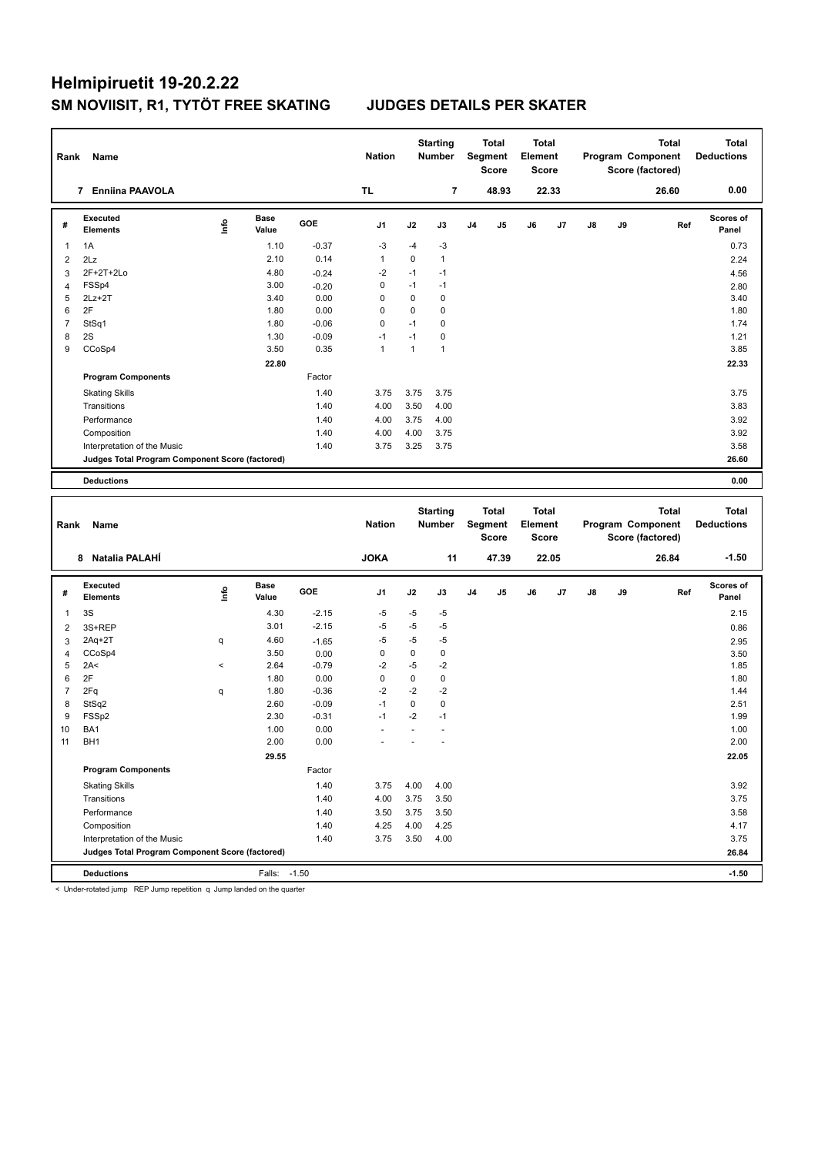| Rank           | Name                                            |             |                      |              | <b>Nation</b>  |              | <b>Starting</b><br><b>Number</b> |                | Total<br>Segment<br><b>Score</b>        | Total<br>Element<br><b>Score</b>        |                |               |    | Program Component<br>Score (factored) | <b>Total</b> | <b>Total</b><br><b>Deductions</b> |
|----------------|-------------------------------------------------|-------------|----------------------|--------------|----------------|--------------|----------------------------------|----------------|-----------------------------------------|-----------------------------------------|----------------|---------------|----|---------------------------------------|--------------|-----------------------------------|
|                | 7 Enniina PAAVOLA                               |             |                      |              | <b>TL</b>      |              | $\overline{7}$                   |                | 48.93                                   |                                         | 22.33          |               |    |                                       | 26.60        | 0.00                              |
| #              | Executed<br><b>Elements</b>                     | <u>info</u> | <b>Base</b><br>Value | GOE          | J1             | J2           | J3                               | J <sub>4</sub> | J5                                      | J6                                      | J <sub>7</sub> | $\mathsf{J}8$ | J9 |                                       | Ref          | Scores of<br>Panel                |
| $\mathbf{1}$   | 1A                                              |             | 1.10                 | $-0.37$      | $-3$           | $-4$         | $-3$                             |                |                                         |                                         |                |               |    |                                       |              | 0.73                              |
| $\overline{2}$ | 2Lz                                             |             | 2.10                 | 0.14         | $\mathbf{1}$   | 0            | $\mathbf{1}$                     |                |                                         |                                         |                |               |    |                                       |              | 2.24                              |
| $\overline{3}$ | 2F+2T+2Lo                                       |             | 4.80                 | $-0.24$      | $-2$           | $-1$         | $-1$                             |                |                                         |                                         |                |               |    |                                       |              | 4.56                              |
| $\overline{4}$ | FSSp4                                           |             | 3.00                 | $-0.20$      | $\mathbf 0$    | $-1$         | $-1$                             |                |                                         |                                         |                |               |    |                                       |              | 2.80                              |
| 5              | $2Lz+2T$                                        |             | 3.40                 | 0.00         | $\mathbf 0$    | $\mathbf 0$  | $\mathbf 0$                      |                |                                         |                                         |                |               |    |                                       |              | 3.40                              |
| $\,6\,$        | 2F                                              |             | 1.80                 | 0.00         | $\mathbf 0$    | 0            | $\pmb{0}$                        |                |                                         |                                         |                |               |    |                                       |              | 1.80                              |
| $\overline{7}$ | StSq1                                           |             | 1.80                 | $-0.06$      | 0              | $-1$         | $\mathbf 0$                      |                |                                         |                                         |                |               |    |                                       |              | 1.74                              |
| 8              | 2S                                              |             | 1.30                 | $-0.09$      | $-1$           | $-1$         | $\mathbf 0$                      |                |                                         |                                         |                |               |    |                                       |              | 1.21                              |
| 9              | CCoSp4                                          |             | 3.50                 | 0.35         | $\mathbf{1}$   | $\mathbf{1}$ | $\mathbf{1}$                     |                |                                         |                                         |                |               |    |                                       |              | 3.85                              |
|                |                                                 |             | 22.80                |              |                |              |                                  |                |                                         |                                         |                |               |    |                                       |              | 22.33                             |
|                | <b>Program Components</b>                       |             |                      | Factor       |                |              |                                  |                |                                         |                                         |                |               |    |                                       |              |                                   |
|                | <b>Skating Skills</b>                           |             |                      | 1.40         | 3.75           | 3.75         | 3.75                             |                |                                         |                                         |                |               |    |                                       |              | 3.75                              |
|                | Transitions                                     |             |                      | 1.40         | 4.00           | 3.50         | 4.00                             |                |                                         |                                         |                |               |    |                                       |              | 3.83                              |
|                | Performance                                     |             |                      | 1.40         | 4.00           | 3.75         | 4.00                             |                |                                         |                                         |                |               |    |                                       |              | 3.92                              |
|                | Composition                                     |             |                      | 1.40         | 4.00           | 4.00         | 3.75                             |                |                                         |                                         |                |               |    |                                       |              | 3.92                              |
|                | Interpretation of the Music                     |             |                      | 1.40         | 3.75           | 3.25         | 3.75                             |                |                                         |                                         |                |               |    |                                       |              | 3.58                              |
|                | Judges Total Program Component Score (factored) |             |                      |              |                |              |                                  |                |                                         |                                         |                |               |    |                                       |              | 26.60                             |
|                |                                                 |             |                      |              |                |              |                                  |                |                                         |                                         |                |               |    |                                       |              |                                   |
|                | <b>Deductions</b>                               |             |                      |              |                |              |                                  |                |                                         |                                         |                |               |    |                                       |              | 0.00                              |
|                |                                                 |             |                      |              |                |              |                                  |                |                                         |                                         |                |               |    |                                       |              |                                   |
| Rank           | Name                                            |             |                      |              | <b>Nation</b>  |              | <b>Starting</b><br><b>Number</b> |                | <b>Total</b><br>Segment<br><b>Score</b> | <b>Total</b><br>Element<br><b>Score</b> |                |               |    | Program Component<br>Score (factored) | <b>Total</b> | <b>Total</b><br><b>Deductions</b> |
|                | 8 Natalia PALAHÍ                                |             |                      |              | <b>JOKA</b>    |              | 11                               |                | 47.39                                   |                                         | 22.05          |               |    |                                       | 26.84        | $-1.50$                           |
| #              | Executed<br><b>Elements</b>                     |             | <b>Base</b><br>Value | GOE          | J <sub>1</sub> | J2           | J3                               | J4             | J5                                      | J6                                      | J7             | J8            | J9 |                                       | Ref          | <b>Scores of</b><br>Panel         |
|                |                                                 | lnfo        |                      |              |                |              |                                  |                |                                         |                                         |                |               |    |                                       |              |                                   |
| $\mathbf{1}$   | 3S                                              |             | 4.30                 | $-2.15$      | $-5$           | $-5$         | $-5$                             |                |                                         |                                         |                |               |    |                                       |              | 2.15                              |
| $\overline{2}$ | 3S+REP                                          |             | 3.01                 | $-2.15$      | $-5$           | $-5$         | $-5$                             |                |                                         |                                         |                |               |    |                                       |              | 0.86                              |
| $\mathbf{3}$   | $2Aq+2T$                                        | q           | 4.60                 | $-1.65$      | $-5$           | $-5$         | $-5$                             |                |                                         |                                         |                |               |    |                                       |              | 2.95                              |
| $\overline{4}$ | CCoSp4                                          |             | 3.50                 | 0.00         | $\pmb{0}$      | $\pmb{0}$    | $\pmb{0}$                        |                |                                         |                                         |                |               |    |                                       |              | 3.50                              |
| 5              | 2A<                                             | $\,<$       | 2.64                 | $-0.79$      | $-2$           | $-5$         | $-2$                             |                |                                         |                                         |                |               |    |                                       |              | 1.85                              |
| $\,6\,$        | 2F                                              |             | 1.80                 | 0.00         | $\mathbf 0$    | $\pmb{0}$    | $\pmb{0}$                        |                |                                         |                                         |                |               |    |                                       |              | 1.80                              |
| $\overline{7}$ | 2Fq                                             | q           | 1.80                 | $-0.36$      | $-2$           | $-2$         | $-2$                             |                |                                         |                                         |                |               |    |                                       |              | 1.44                              |
| 8              | StSq2                                           |             | 2.60                 | $-0.09$      | $-1$           | $\mathbf 0$  | $\mathbf 0$                      |                |                                         |                                         |                |               |    |                                       |              | 2.51                              |
| 9              | FSSp2                                           |             | 2.30                 | $-0.31$      | $-1$           | $-2$         | $-1$                             |                |                                         |                                         |                |               |    |                                       |              | 1.99                              |
| 10             | BA1                                             |             | 1.00                 | 0.00         |                | ÷,           | $\overline{a}$                   |                |                                         |                                         |                |               |    |                                       |              | 1.00                              |
| 11             | BH <sub>1</sub>                                 |             | 2.00                 | 0.00         |                |              |                                  |                |                                         |                                         |                |               |    |                                       |              | 2.00                              |
|                |                                                 |             | 29.55                |              |                |              |                                  |                |                                         |                                         |                |               |    |                                       |              | 22.05                             |
|                | <b>Program Components</b>                       |             |                      | Factor       |                |              |                                  |                |                                         |                                         |                |               |    |                                       |              |                                   |
|                | <b>Skating Skills</b>                           |             |                      | 1.40         | 3.75           | 4.00         | 4.00                             |                |                                         |                                         |                |               |    |                                       |              | 3.92                              |
|                | Transitions                                     |             |                      | 1.40         | 4.00           | 3.75         | 3.50                             |                |                                         |                                         |                |               |    |                                       |              | 3.75                              |
|                | Performance<br>Composition                      |             |                      | 1.40<br>1.40 | 3.50<br>4.25   | 3.75<br>4.00 | 3.50<br>4.25                     |                |                                         |                                         |                |               |    |                                       |              | 3.58<br>4.17                      |

Interpretation of the Music 1.40 1.40 3.75 3.50 4.00<br> **Judges Total Program Component Score (factored)** 26.84

**Deductions** Falls: -1.50 **-1.50**

< Under-rotated jump REP Jump repetition q Jump landed on the quarter

**Judges Total Program Component Score (factored) 26.84**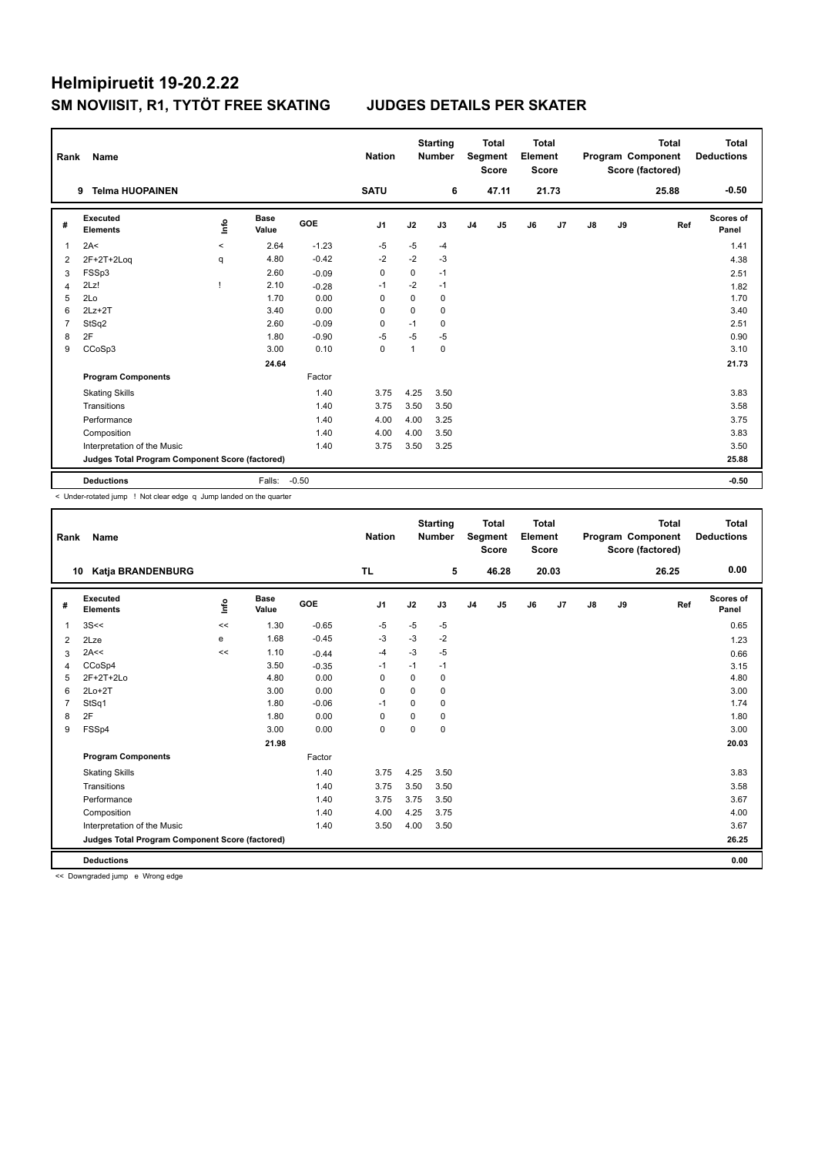| Rank           | Name                                            |                          |                      |         | <b>Nation</b>  |              | <b>Starting</b><br><b>Number</b> |                | <b>Total</b><br>Segment<br><b>Score</b> | <b>Total</b><br>Element<br><b>Score</b> |       |               |    | <b>Total</b><br>Program Component<br>Score (factored) | <b>Total</b><br><b>Deductions</b> |
|----------------|-------------------------------------------------|--------------------------|----------------------|---------|----------------|--------------|----------------------------------|----------------|-----------------------------------------|-----------------------------------------|-------|---------------|----|-------------------------------------------------------|-----------------------------------|
|                | <b>Telma HUOPAINEN</b><br>9                     |                          |                      |         | <b>SATU</b>    |              | 6                                |                | 47.11                                   |                                         | 21.73 |               |    | 25.88                                                 | $-0.50$                           |
| #              | Executed<br><b>Elements</b>                     | lnfo                     | <b>Base</b><br>Value | GOE     | J <sub>1</sub> | J2           | J3                               | J <sub>4</sub> | J <sub>5</sub>                          | J6                                      | J7    | $\mathsf{J}8$ | J9 | Ref                                                   | Scores of<br>Panel                |
| 1              | 2A<                                             | $\overline{\phantom{0}}$ | 2.64                 | $-1.23$ | $-5$           | $-5$         | $-4$                             |                |                                         |                                         |       |               |    |                                                       | 1.41                              |
| 2              | 2F+2T+2Loq                                      | q                        | 4.80                 | $-0.42$ | $-2$           | $-2$         | $-3$                             |                |                                         |                                         |       |               |    |                                                       | 4.38                              |
| 3              | FSSp3                                           |                          | 2.60                 | $-0.09$ | 0              | 0            | $-1$                             |                |                                         |                                         |       |               |    |                                                       | 2.51                              |
| $\overline{4}$ | 2Lz!                                            |                          | 2.10                 | $-0.28$ | $-1$           | $-2$         | $-1$                             |                |                                         |                                         |       |               |    |                                                       | 1.82                              |
| 5              | 2Lo                                             |                          | 1.70                 | 0.00    | $\Omega$       | 0            | 0                                |                |                                         |                                         |       |               |    |                                                       | 1.70                              |
| 6              | $2Lz+2T$                                        |                          | 3.40                 | 0.00    | 0              | $\mathbf 0$  | $\mathbf 0$                      |                |                                         |                                         |       |               |    |                                                       | 3.40                              |
| $\overline{7}$ | StSq2                                           |                          | 2.60                 | $-0.09$ | $\Omega$       | $-1$         | 0                                |                |                                         |                                         |       |               |    |                                                       | 2.51                              |
| 8              | 2F                                              |                          | 1.80                 | $-0.90$ | $-5$           | $-5$         | -5                               |                |                                         |                                         |       |               |    |                                                       | 0.90                              |
| 9              | CCoSp3                                          |                          | 3.00                 | 0.10    | $\mathbf 0$    | $\mathbf{1}$ | $\mathbf 0$                      |                |                                         |                                         |       |               |    |                                                       | 3.10                              |
|                |                                                 |                          | 24.64                |         |                |              |                                  |                |                                         |                                         |       |               |    |                                                       | 21.73                             |
|                | <b>Program Components</b>                       |                          |                      | Factor  |                |              |                                  |                |                                         |                                         |       |               |    |                                                       |                                   |
|                | <b>Skating Skills</b>                           |                          |                      | 1.40    | 3.75           | 4.25         | 3.50                             |                |                                         |                                         |       |               |    |                                                       | 3.83                              |
|                | Transitions                                     |                          |                      | 1.40    | 3.75           | 3.50         | 3.50                             |                |                                         |                                         |       |               |    |                                                       | 3.58                              |
|                | Performance                                     |                          |                      | 1.40    | 4.00           | 4.00         | 3.25                             |                |                                         |                                         |       |               |    |                                                       | 3.75                              |
|                | Composition                                     |                          |                      | 1.40    | 4.00           | 4.00         | 3.50                             |                |                                         |                                         |       |               |    |                                                       | 3.83                              |
|                | Interpretation of the Music                     |                          |                      | 1.40    | 3.75           | 3.50         | 3.25                             |                |                                         |                                         |       |               |    |                                                       | 3.50                              |
|                | Judges Total Program Component Score (factored) |                          |                      |         |                |              |                                  |                |                                         |                                         |       |               |    |                                                       | 25.88                             |
|                | <b>Deductions</b>                               |                          | Falls:               | $-0.50$ |                |              |                                  |                |                                         |                                         |       |               |    |                                                       | $-0.50$                           |

< Under-rotated jump ! Not clear edge q Jump landed on the quarter

| Rank           | Name                                            |      |                      |         | <b>Nation</b> |          | <b>Starting</b><br><b>Number</b> |                | <b>Total</b><br>Segment<br><b>Score</b> | <b>Total</b><br>Element<br><b>Score</b> |       |               |    | <b>Total</b><br>Program Component<br>Score (factored) | <b>Total</b><br><b>Deductions</b> |
|----------------|-------------------------------------------------|------|----------------------|---------|---------------|----------|----------------------------------|----------------|-----------------------------------------|-----------------------------------------|-------|---------------|----|-------------------------------------------------------|-----------------------------------|
|                | Katja BRANDENBURG<br>10                         |      |                      |         | TL.           |          | 5                                |                | 46.28                                   |                                         | 20.03 |               |    | 26.25                                                 | 0.00                              |
| #              | <b>Executed</b><br><b>Elements</b>              | lnfo | <b>Base</b><br>Value | GOE     | J1            | J2       | J3                               | J <sub>4</sub> | J5                                      | J6                                      | J7    | $\mathsf{J}8$ | J9 | Ref                                                   | <b>Scores of</b><br>Panel         |
| $\overline{1}$ | 3S<<                                            | <<   | 1.30                 | $-0.65$ | $-5$          | $-5$     | $-5$                             |                |                                         |                                         |       |               |    |                                                       | 0.65                              |
| 2              | 2Lze                                            | e    | 1.68                 | $-0.45$ | -3            | $-3$     | $-2$                             |                |                                         |                                         |       |               |    |                                                       | 1.23                              |
| 3              | 2A<<                                            | <<   | 1.10                 | $-0.44$ | -4            | $-3$     | $-5$                             |                |                                         |                                         |       |               |    |                                                       | 0.66                              |
| 4              | CCoSp4                                          |      | 3.50                 | $-0.35$ | $-1$          | $-1$     | $-1$                             |                |                                         |                                         |       |               |    |                                                       | 3.15                              |
| 5              | 2F+2T+2Lo                                       |      | 4.80                 | 0.00    | 0             | $\Omega$ | 0                                |                |                                         |                                         |       |               |    |                                                       | 4.80                              |
| 6              | $2Lo+2T$                                        |      | 3.00                 | 0.00    | $\Omega$      | $\Omega$ | 0                                |                |                                         |                                         |       |               |    |                                                       | 3.00                              |
| $\overline{7}$ | StSq1                                           |      | 1.80                 | $-0.06$ | $-1$          | $\Omega$ | 0                                |                |                                         |                                         |       |               |    |                                                       | 1.74                              |
| 8              | 2F                                              |      | 1.80                 | 0.00    | $\mathbf 0$   | $\Omega$ | 0                                |                |                                         |                                         |       |               |    |                                                       | 1.80                              |
| 9              | FSSp4                                           |      | 3.00                 | 0.00    | 0             | $\Omega$ | 0                                |                |                                         |                                         |       |               |    |                                                       | 3.00                              |
|                |                                                 |      | 21.98                |         |               |          |                                  |                |                                         |                                         |       |               |    |                                                       | 20.03                             |
|                | <b>Program Components</b>                       |      |                      | Factor  |               |          |                                  |                |                                         |                                         |       |               |    |                                                       |                                   |
|                | <b>Skating Skills</b>                           |      |                      | 1.40    | 3.75          | 4.25     | 3.50                             |                |                                         |                                         |       |               |    |                                                       | 3.83                              |
|                | Transitions                                     |      |                      | 1.40    | 3.75          | 3.50     | 3.50                             |                |                                         |                                         |       |               |    |                                                       | 3.58                              |
|                | Performance                                     |      |                      | 1.40    | 3.75          | 3.75     | 3.50                             |                |                                         |                                         |       |               |    |                                                       | 3.67                              |
|                | Composition                                     |      |                      | 1.40    | 4.00          | 4.25     | 3.75                             |                |                                         |                                         |       |               |    |                                                       | 4.00                              |
|                | Interpretation of the Music                     |      |                      | 1.40    | 3.50          | 4.00     | 3.50                             |                |                                         |                                         |       |               |    |                                                       | 3.67                              |
|                | Judges Total Program Component Score (factored) |      |                      |         |               |          |                                  |                |                                         |                                         |       |               |    |                                                       | 26.25                             |
|                | <b>Deductions</b>                               |      |                      |         |               |          |                                  |                |                                         |                                         |       |               |    |                                                       | 0.00                              |

<< Downgraded jump e Wrong edge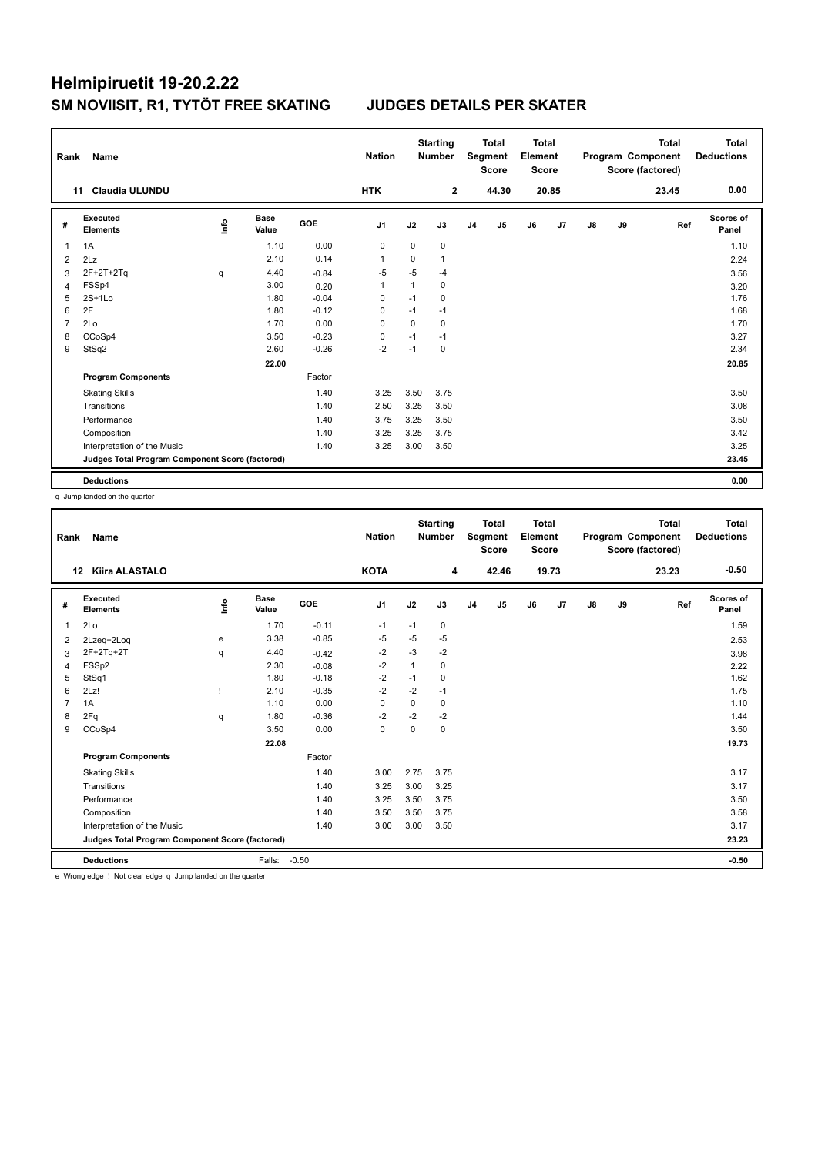| Rank           | Name                                            |      |                      |         | <b>Nation</b>  |              | <b>Starting</b><br><b>Number</b> |                | <b>Total</b><br>Segment<br><b>Score</b> | <b>Total</b><br>Element<br><b>Score</b> |       |               |    | <b>Total</b><br>Program Component<br>Score (factored) | <b>Total</b><br><b>Deductions</b> |
|----------------|-------------------------------------------------|------|----------------------|---------|----------------|--------------|----------------------------------|----------------|-----------------------------------------|-----------------------------------------|-------|---------------|----|-------------------------------------------------------|-----------------------------------|
|                | <b>Claudia ULUNDU</b><br>11                     |      |                      |         | <b>HTK</b>     |              | $\mathbf{2}$                     |                | 44.30                                   |                                         | 20.85 |               |    | 23.45                                                 | 0.00                              |
| #              | <b>Executed</b><br><b>Elements</b>              | lnfo | <b>Base</b><br>Value | GOE     | J <sub>1</sub> | J2           | J3                               | J <sub>4</sub> | J <sub>5</sub>                          | J6                                      | J7    | $\mathsf{J}8$ | J9 | Ref                                                   | Scores of<br>Panel                |
| 1              | 1A                                              |      | 1.10                 | 0.00    | 0              | 0            | 0                                |                |                                         |                                         |       |               |    |                                                       | 1.10                              |
| 2              | 2Lz                                             |      | 2.10                 | 0.14    | -1             | 0            | 1                                |                |                                         |                                         |       |               |    |                                                       | 2.24                              |
| 3              | $2F+2T+2Tq$                                     | q    | 4.40                 | $-0.84$ | -5             | $-5$         | $-4$                             |                |                                         |                                         |       |               |    |                                                       | 3.56                              |
| $\overline{4}$ | FSSp4                                           |      | 3.00                 | 0.20    | $\overline{1}$ | $\mathbf{1}$ | $\mathbf 0$                      |                |                                         |                                         |       |               |    |                                                       | 3.20                              |
| 5              | $2S+1Lo$                                        |      | 1.80                 | $-0.04$ | 0              | $-1$         | 0                                |                |                                         |                                         |       |               |    |                                                       | 1.76                              |
| 6              | 2F                                              |      | 1.80                 | $-0.12$ | 0              | $-1$         | $-1$                             |                |                                         |                                         |       |               |    |                                                       | 1.68                              |
| $\overline{7}$ | 2Lo                                             |      | 1.70                 | 0.00    | 0              | $\mathbf 0$  | 0                                |                |                                         |                                         |       |               |    |                                                       | 1.70                              |
| 8              | CCoSp4                                          |      | 3.50                 | $-0.23$ | 0              | $-1$         | $-1$                             |                |                                         |                                         |       |               |    |                                                       | 3.27                              |
| 9              | StSq2                                           |      | 2.60                 | $-0.26$ | $-2$           | $-1$         | 0                                |                |                                         |                                         |       |               |    |                                                       | 2.34                              |
|                |                                                 |      | 22.00                |         |                |              |                                  |                |                                         |                                         |       |               |    |                                                       | 20.85                             |
|                | <b>Program Components</b>                       |      |                      | Factor  |                |              |                                  |                |                                         |                                         |       |               |    |                                                       |                                   |
|                | <b>Skating Skills</b>                           |      |                      | 1.40    | 3.25           | 3.50         | 3.75                             |                |                                         |                                         |       |               |    |                                                       | 3.50                              |
|                | Transitions                                     |      |                      | 1.40    | 2.50           | 3.25         | 3.50                             |                |                                         |                                         |       |               |    |                                                       | 3.08                              |
|                | Performance                                     |      |                      | 1.40    | 3.75           | 3.25         | 3.50                             |                |                                         |                                         |       |               |    |                                                       | 3.50                              |
|                | Composition                                     |      |                      | 1.40    | 3.25           | 3.25         | 3.75                             |                |                                         |                                         |       |               |    |                                                       | 3.42                              |
|                | Interpretation of the Music                     |      |                      | 1.40    | 3.25           | 3.00         | 3.50                             |                |                                         |                                         |       |               |    |                                                       | 3.25                              |
|                | Judges Total Program Component Score (factored) |      |                      |         |                |              |                                  |                |                                         |                                         |       |               |    |                                                       | 23.45                             |
|                | <b>Deductions</b>                               |      |                      |         |                |              |                                  |                |                                         |                                         |       |               |    |                                                       | 0.00                              |

q Jump landed on the quarter

| Rank | Name                                            |      |                      |         | <b>Nation</b>  |              | <b>Starting</b><br><b>Number</b> |                | <b>Total</b><br>Segment<br><b>Score</b> | Total<br>Element<br><b>Score</b> |       |    |    | <b>Total</b><br>Program Component<br>Score (factored) | Total<br><b>Deductions</b> |
|------|-------------------------------------------------|------|----------------------|---------|----------------|--------------|----------------------------------|----------------|-----------------------------------------|----------------------------------|-------|----|----|-------------------------------------------------------|----------------------------|
| 12   | <b>Kiira ALASTALO</b>                           |      |                      |         | <b>KOTA</b>    |              | 4                                |                | 42.46                                   |                                  | 19.73 |    |    | 23.23                                                 | $-0.50$                    |
| #    | <b>Executed</b><br><b>Elements</b>              | lnfo | <b>Base</b><br>Value | GOE     | J <sub>1</sub> | J2           | J3                               | J <sub>4</sub> | J <sub>5</sub>                          | J6                               | J7    | J8 | J9 | Ref                                                   | <b>Scores of</b><br>Panel  |
| 1    | 2Lo                                             |      | 1.70                 | $-0.11$ | $-1$           | $-1$         | $\pmb{0}$                        |                |                                         |                                  |       |    |    |                                                       | 1.59                       |
| 2    | 2Lzeq+2Loq                                      | e    | 3.38                 | $-0.85$ | -5             | $-5$         | $-5$                             |                |                                         |                                  |       |    |    |                                                       | 2.53                       |
| 3    | $2F+2Tq+2T$                                     | q    | 4.40                 | $-0.42$ | $-2$           | $-3$         | $-2$                             |                |                                         |                                  |       |    |    |                                                       | 3.98                       |
| 4    | FSSp2                                           |      | 2.30                 | $-0.08$ | $-2$           | $\mathbf{1}$ | $\mathbf 0$                      |                |                                         |                                  |       |    |    |                                                       | 2.22                       |
| 5    | StSq1                                           |      | 1.80                 | $-0.18$ | $-2$           | $-1$         | 0                                |                |                                         |                                  |       |    |    |                                                       | 1.62                       |
| 6    | 2Lz!                                            |      | 2.10                 | $-0.35$ | $-2$           | $-2$         | $-1$                             |                |                                         |                                  |       |    |    |                                                       | 1.75                       |
| 7    | 1A                                              |      | 1.10                 | 0.00    | $\mathbf 0$    | $\mathbf 0$  | 0                                |                |                                         |                                  |       |    |    |                                                       | 1.10                       |
| 8    | 2Fq                                             | q    | 1.80                 | $-0.36$ | $-2$           | $-2$         | $-2$                             |                |                                         |                                  |       |    |    |                                                       | 1.44                       |
| 9    | CCoSp4                                          |      | 3.50                 | 0.00    | 0              | $\mathbf 0$  | $\mathbf 0$                      |                |                                         |                                  |       |    |    |                                                       | 3.50                       |
|      |                                                 |      | 22.08                |         |                |              |                                  |                |                                         |                                  |       |    |    |                                                       | 19.73                      |
|      | <b>Program Components</b>                       |      |                      | Factor  |                |              |                                  |                |                                         |                                  |       |    |    |                                                       |                            |
|      | <b>Skating Skills</b>                           |      |                      | 1.40    | 3.00           | 2.75         | 3.75                             |                |                                         |                                  |       |    |    |                                                       | 3.17                       |
|      | Transitions                                     |      |                      | 1.40    | 3.25           | 3.00         | 3.25                             |                |                                         |                                  |       |    |    |                                                       | 3.17                       |
|      | Performance                                     |      |                      | 1.40    | 3.25           | 3.50         | 3.75                             |                |                                         |                                  |       |    |    |                                                       | 3.50                       |
|      | Composition                                     |      |                      | 1.40    | 3.50           | 3.50         | 3.75                             |                |                                         |                                  |       |    |    |                                                       | 3.58                       |
|      | Interpretation of the Music                     |      |                      | 1.40    | 3.00           | 3.00         | 3.50                             |                |                                         |                                  |       |    |    |                                                       | 3.17                       |
|      | Judges Total Program Component Score (factored) |      |                      |         |                |              |                                  |                |                                         |                                  |       |    |    |                                                       | 23.23                      |
|      | <b>Deductions</b>                               |      | Falls:               | $-0.50$ |                |              |                                  |                |                                         |                                  |       |    |    |                                                       | $-0.50$                    |
|      |                                                 |      |                      |         |                |              |                                  |                |                                         |                                  |       |    |    |                                                       |                            |

e Wrong edge ! Not clear edge q Jump landed on the quarter